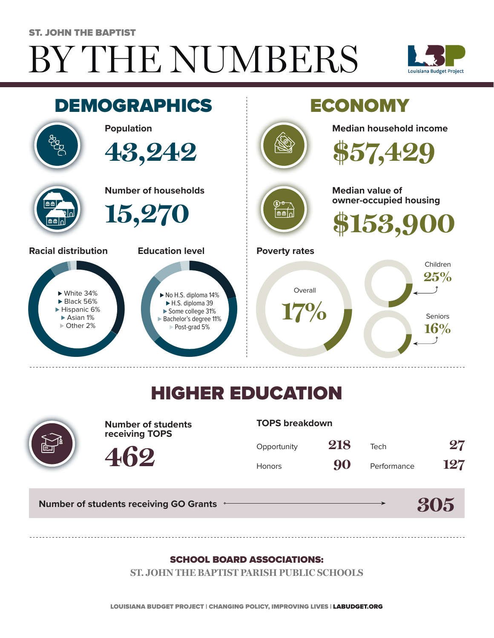# BY THE NUMBERS ST. JOHN THE BAPTIST





## HIGHER EDUCATION



**Number of students receiving TOPS**

#### **TOPS breakdown**

| Opportunity   | 218 | Tech        | 27  |
|---------------|-----|-------------|-----|
| <b>Honors</b> | 90  | Performance | 127 |

**305**

**Number of students receiving GO Grants**

**462**

#### SCHOOL BOARD ASSOCIATIONS:

**ST. JOHN THE BAPTIST PARISH PUBLIC SCHOOLS**